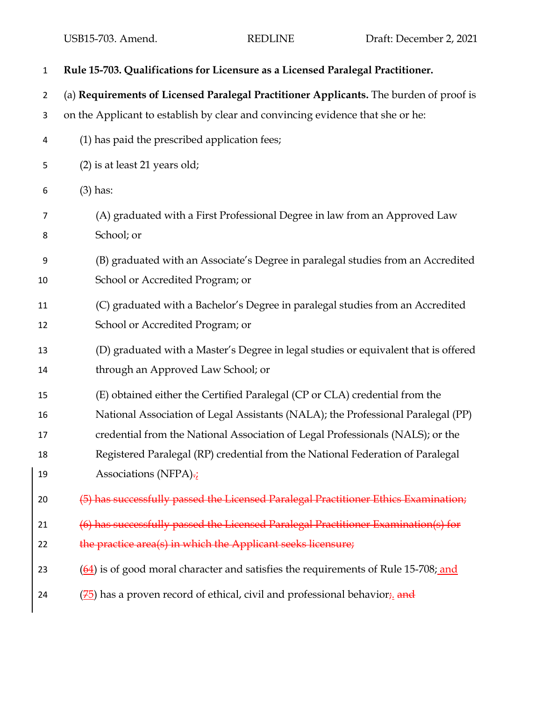| $\mathbf{1}$   | Rule 15-703. Qualifications for Licensure as a Licensed Paralegal Practitioner.                           |
|----------------|-----------------------------------------------------------------------------------------------------------|
| $\overline{2}$ | (a) Requirements of Licensed Paralegal Practitioner Applicants. The burden of proof is                    |
| 3              | on the Applicant to establish by clear and convincing evidence that she or he:                            |
| 4              | (1) has paid the prescribed application fees;                                                             |
| 5              | (2) is at least 21 years old;                                                                             |
| 6              | $(3)$ has:                                                                                                |
| 7              | (A) graduated with a First Professional Degree in law from an Approved Law                                |
| 8              | School; or                                                                                                |
| 9              | (B) graduated with an Associate's Degree in paralegal studies from an Accredited                          |
| 10             | School or Accredited Program; or                                                                          |
| 11             | (C) graduated with a Bachelor's Degree in paralegal studies from an Accredited                            |
| 12             | School or Accredited Program; or                                                                          |
| 13             | (D) graduated with a Master's Degree in legal studies or equivalent that is offered                       |
| 14             | through an Approved Law School; or                                                                        |
| 15             | (E) obtained either the Certified Paralegal (CP or CLA) credential from the                               |
| 16             | National Association of Legal Assistants (NALA); the Professional Paralegal (PP)                          |
| 17             | credential from the National Association of Legal Professionals (NALS); or the                            |
| 18             | Registered Paralegal (RP) credential from the National Federation of Paralegal                            |
| 19             | Associations (NFPA)-                                                                                      |
| 20             | (5) has successfully passed the Licensed Paralegal Practitioner Ethics Examination;                       |
| 21             | (6) has successfully passed the Licensed Paralegal Practitioner Examination(s) for                        |
| 22             | the practice area(s) in which the Applicant seeks licensure;                                              |
| 23             | $\left(\frac{64}{2}\right)$ is of good moral character and satisfies the requirements of Rule 15-708; and |
| 24             | ( <sup>75</sup> ) has a proven record of ethical, civil and professional behavior <sub>i</sub> and        |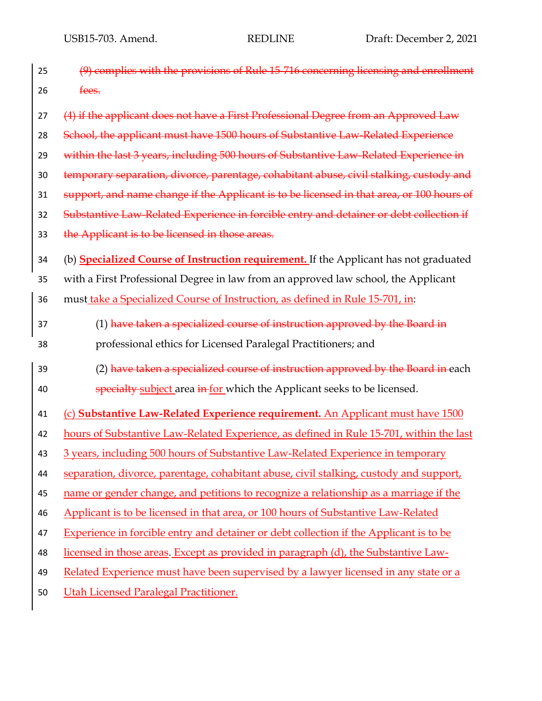| 25 | (9) complies with the provisions of Rule 15-716 concerning licensing and enrollment           |
|----|-----------------------------------------------------------------------------------------------|
| 26 | fees.                                                                                         |
| 27 | (4) if the applicant does not have a First Professional Degree from an Approved Law           |
| 28 | School, the applicant must have 1500 hours of Substantive Law-Related Experience              |
| 29 | within the last 3 years, including 500 hours of Substantive Law-Related Experience in         |
| 30 | temporary separation, divorce, parentage, cohabitant abuse, civil stalking, custody and       |
| 31 | support, and name change if the Applicant is to be licensed in that area, or 100 hours of     |
| 32 | Substantive Law-Related Experience in forcible entry and detainer or debt collection if       |
| 33 | the Applicant is to be licensed in those areas.                                               |
| 34 | (b) <b>Specialized Course of Instruction requirement</b> . If the Applicant has not graduated |
| 35 | with a First Professional Degree in law from an approved law school, the Applicant            |
| 36 | must take a Specialized Course of Instruction, as defined in Rule 15-701, in:                 |
| 37 | (1) have taken a specialized course of instruction approved by the Board in                   |
| 38 | professional ethics for Licensed Paralegal Practitioners; and                                 |
| 39 | (2) have taken a specialized course of instruction approved by the Board in each              |
| 40 | specialty subject area in for which the Applicant seeks to be licensed.                       |
| 41 | (c) Substantive Law-Related Experience requirement. An Applicant must have 1500               |
| 42 | hours of Substantive Law-Related Experience, as defined in Rule 15-701, within the last       |
| 43 | 3 years, including 500 hours of Substantive Law-Related Experience in temporary               |
| 44 | separation, divorce, parentage, cohabitant abuse, civil stalking, custody and support,        |
| 45 | name or gender change, and petitions to recognize a relationship as a marriage if the         |
| 46 | Applicant is to be licensed in that area, or 100 hours of Substantive Law-Related             |
| 47 | Experience in forcible entry and detainer or debt collection if the Applicant is to be        |
| 48 | licensed in those areas. Except as provided in paragraph (d), the Substantive Law-            |
| 49 | Related Experience must have been supervised by a lawyer licensed in any state or a           |
| 50 | Utah Licensed Paralegal Practitioner.                                                         |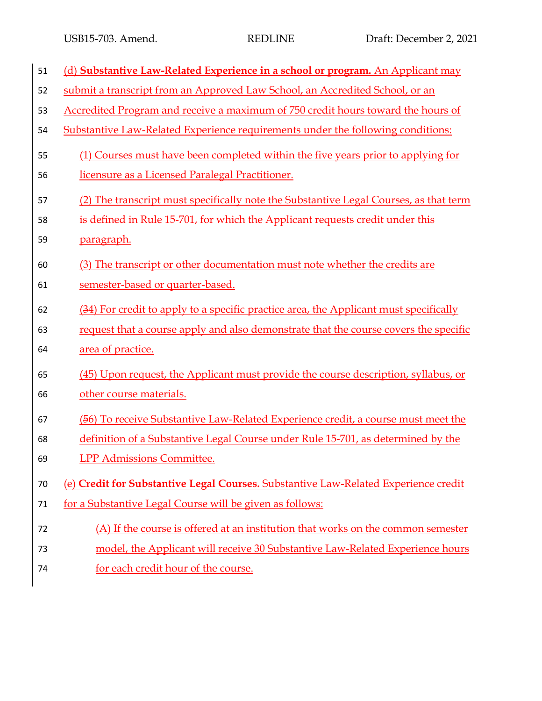| 51 | (d) Substantive Law-Related Experience in a school or program. An Applicant may       |
|----|---------------------------------------------------------------------------------------|
| 52 | submit a transcript from an Approved Law School, an Accredited School, or an          |
| 53 | Accredited Program and receive a maximum of 750 credit hours toward the hours of      |
| 54 | Substantive Law-Related Experience requirements under the following conditions:       |
| 55 | (1) Courses must have been completed within the five years prior to applying for      |
| 56 | licensure as a Licensed Paralegal Practitioner.                                       |
| 57 | (2) The transcript must specifically note the Substantive Legal Courses, as that term |
| 58 | is defined in Rule 15-701, for which the Applicant requests credit under this         |
| 59 | <u>paragraph.</u>                                                                     |
| 60 | (3) The transcript or other documentation must note whether the credits are           |
| 61 | semester-based or quarter-based.                                                      |
| 62 | (34) For credit to apply to a specific practice area, the Applicant must specifically |
| 63 | request that a course apply and also demonstrate that the course covers the specific  |
| 64 | area of practice.                                                                     |
| 65 | (45) Upon request, the Applicant must provide the course description, syllabus, or    |
| 66 | other course materials.                                                               |
| 67 | (56) To receive Substantive Law-Related Experience credit, a course must meet the     |
| 68 | definition of a Substantive Legal Course under Rule 15-701, as determined by the      |
| 69 | <b>LPP Admissions Committee.</b>                                                      |
| 70 | (e) Credit for Substantive Legal Courses. Substantive Law-Related Experience credit   |
| 71 | for a Substantive Legal Course will be given as follows:                              |
| 72 | (A) If the course is offered at an institution that works on the common semester      |
| 73 | model, the Applicant will receive 30 Substantive Law-Related Experience hours         |
| 74 | for each credit hour of the course.                                                   |